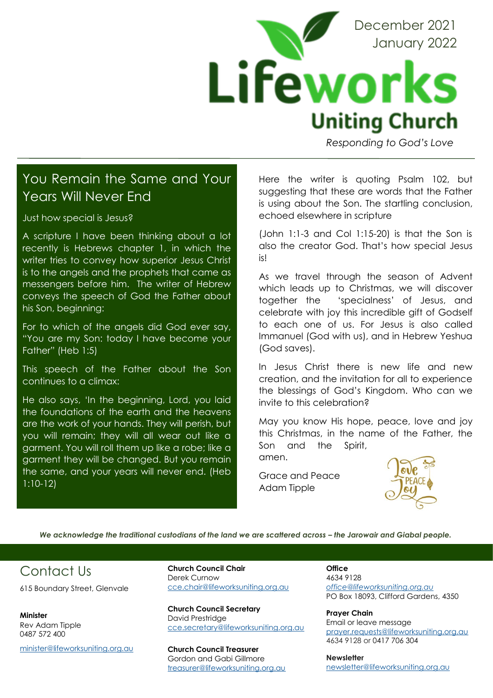

*Responding to God's Love* 

### You Remain the Same and Your Years Will Never End

Just how special is Jesus?

A scripture I have been thinking about a lot recently is Hebrews chapter 1, in which the writer tries to convey how superior Jesus Christ is to the angels and the prophets that came as messengers before him. The writer of Hebrew conveys the speech of God the Father about his Son, beginning:

For to which of the angels did God ever say, "You are my Son: today I have become your Father" (Heb 1:5)

This speech of the Father about the Son continues to a climax:

He also says, 'In the beginning, Lord, you laid the foundations of the earth and the heavens are the work of your hands. They will perish, but you will remain; they will all wear out like a garment. You will roll them up like a robe; like a garment they will be changed. But you remain the same, and your years will never end. (Heb 1:10-12)

Here the writer is quoting Psalm 102, but suggesting that these are words that the Father is using about the Son. The startling conclusion, echoed elsewhere in scripture

(John 1:1-3 and Col 1:15-20) is that the Son is also the creator God. That's how special Jesus is!

As we travel through the season of Advent which leads up to Christmas, we will discover together the 'specialness' of Jesus, and celebrate with joy this incredible gift of Godself to each one of us. For Jesus is also called Immanuel (God with us), and in Hebrew Yeshua (God saves).

In Jesus Christ there is new life and new creation, and the invitation for all to experience the blessings of God's Kingdom. Who can we invite to this celebration?

May you know His hope, peace, love and joy this Christmas, in the name of the Father, the Son and the Spirit, amen.

Grace and Peace Adam Tipple



*We acknowledge the traditional custodians of the land we are scattered across – the Jarowair and Giabal people.* 

## Contact Us

615 Boundary Street, Glenvale

**Minister** Rev Adam Tipple 0487 572 400

[minister@lifeworksuniting.org.au](mailto:minister@lifeworksuniting.org.au)

**Church Council Chair** Derek Curnow [cce.chair@lifeworksuniting.org.au](mailto:cce.chair@lifeworksuniting.org.au)

**Church Council Secretary** David Prestridge [cce.secretary@lifeworksuniting.org.au](mailto:cce.secretary@lifeworksuniting.org.au)

**Church Council Treasurer** Gordon and Gabi Gillmore [treasurer@lifeworksuniting.org.au](mailto:treasurer@lifeworksuniting.org.au) **Office** 4634 9128 *[office@lifeworksuniting.org.au](mailto:office@lifeworksuniting.org.au)* PO Box 18093, Clifford Gardens, 4350

**Prayer Chain** Email or leave message [prayer.requests@lifeworksuniting.org.au](mailto:prayer.requests@lifeworksuniting.org.au) 4634 9128 or 0417 706 304

**Newsletter** [newsletter@lifeworksuniting.org.au](mailto:newsletter@lifeworksuniting.org.au)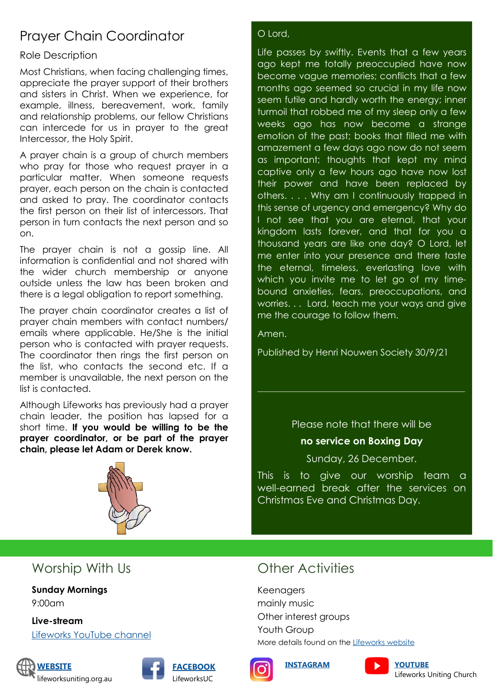# Prayer Chain Coordinator

#### Role Description

Most Christians, when facing challenging times, appreciate the prayer support of their brothers and sisters in Christ. When we experience, for example, illness, bereavement, work, family and relationship problems, our fellow Christians can intercede for us in prayer to the great Intercessor, the Holy Spirit.

A prayer chain is a group of church members who pray for those who request prayer in a particular matter. When someone requests prayer, each person on the chain is contacted and asked to pray. The coordinator contacts the first person on their list of intercessors. That person in turn contacts the next person and so on.

The prayer chain is not a gossip line. All information is confidential and not shared with the wider church membership or anyone outside unless the law has been broken and there is a legal obligation to report something.

The prayer chain coordinator creates a list of prayer chain members with contact numbers/ emails where applicable. He/She is the initial person who is contacted with prayer requests. The coordinator then rings the first person on the list, who contacts the second etc. If a member is unavailable, the next person on the list is contacted.

Although Lifeworks has previously had a prayer chain leader, the position has lapsed for a short time. **If you would be willing to be the prayer coordinator, or be part of the prayer chain, please let Adam or Derek know.**



#### O Lord,

Life passes by swiftly. Events that a few years ago kept me totally preoccupied have now become vague memories; conflicts that a few months ago seemed so crucial in my life now seem futile and hardly worth the energy; inner turmoil that robbed me of my sleep only a few weeks ago has now become a strange emotion of the past; books that filled me with amazement a few days ago now do not seem as important; thoughts that kept my mind captive only a few hours ago have now lost their power and have been replaced by others. . . . Why am I continuously trapped in this sense of urgency and emergency? Why do I not see that you are eternal, that your kingdom lasts forever, and that for you a thousand years are like one day? O Lord, let me enter into your presence and there taste the eternal, timeless, everlasting love with which you invite me to let go of my timebound anxieties, fears, preoccupations, and worries. . . Lord, teach me your ways and give me the courage to follow them.

Amen.

Published by Henri Nouwen Society 30/9/21

Please note that there will be

\_\_\_\_\_\_\_\_\_\_\_\_\_\_\_\_\_\_\_\_\_\_\_\_\_\_\_\_\_\_\_\_\_\_\_\_\_\_\_\_\_\_\_\_\_\_\_\_\_\_

#### **no service on Boxing Day**

Sunday, 26 December.

This is to give our worship team a well-earned break after the services on Christmas Eve and Christmas Day.

### Worship With Us

**Sunday Mornings** 9:00am

**Live-stream** [Lifeworks YouTube channel](https://www.youtube.com/channel/UCcZJJJZ7xf5v-mpVP0_E-CA)







# **Other Activities**

Keenagers mainly music Other interest groups Youth Group More details found on the [Lifeworks website](https://lifeworksuniting.org.au/)







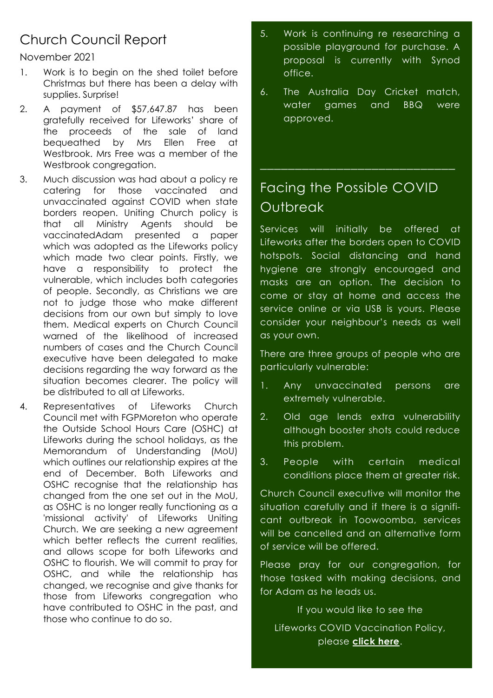# Church Council Report

November 2021

- 1. Work is to begin on the shed toilet before Christmas but there has been a delay with supplies. Surprise!
- 2. A payment of \$57,647.87 has been gratefully received for Lifeworks' share of the proceeds of the sale of land bequeathed by Mrs Ellen Free at Westbrook. Mrs Free was a member of the Westbrook congregation.
- 3. Much discussion was had about a policy re catering for those vaccinated and unvaccinated against COVID when state borders reopen. Uniting Church policy is that all Ministry Agents should be vaccinatedAdam presented a paper which was adopted as the Lifeworks policy which made two clear points. Firstly, we have a responsibility to protect the vulnerable, which includes both categories of people. Secondly, as Christians we are not to judge those who make different decisions from our own but simply to love them. Medical experts on Church Council warned of the likelihood of increased numbers of cases and the Church Council executive have been delegated to make decisions regarding the way forward as the situation becomes clearer. The policy will be distributed to all at Lifeworks.
- 4. Representatives of Lifeworks Church Council met with FGPMoreton who operate the Outside School Hours Care (OSHC) at Lifeworks during the school holidays, as the Memorandum of Understanding (MoU) which outlines our relationship expires at the end of December. Both Lifeworks and OSHC recognise that the relationship has changed from the one set out in the MoU, as OSHC is no longer really functioning as a 'missional activity' of Lifeworks Uniting Church. We are seeking a new agreement which better reflects the current realities, and allows scope for both Lifeworks and OSHC to flourish. We will commit to pray for OSHC, and while the relationship has changed, we recognise and give thanks for those from Lifeworks congregation who have contributed to OSHC in the past, and those who continue to do so.
- 5. Work is continuing re researching a possible playground for purchase. A proposal is currently with Synod office.
- 6. The Australia Day Cricket match, water games and BBQ were approved.

## Facing the Possible COVID **Outbreak**

\_\_\_\_\_\_\_\_\_\_\_\_\_\_\_\_\_\_\_\_\_\_\_\_\_\_\_\_

Services will initially be offered at Lifeworks after the borders open to COVID hotspots. Social distancing and hand hygiene are strongly encouraged and masks are an option. The decision to come or stay at home and access the service online or via USB is yours. Please consider your neighbour's needs as well as your own.

There are three groups of people who are particularly vulnerable:

- 1. Any unvaccinated persons are extremely vulnerable.
- 2. Old age lends extra vulnerability although booster shots could reduce this problem.
- 3. People with certain medical conditions place them at greater risk.

Church Council executive will monitor the situation carefully and if there is a significant outbreak in Toowoomba, services will be cancelled and an alternative form of service will be offered.

Please pray for our congregation, for those tasked with making decisions, and for Adam as he leads us.

If you would like to see the

Lifeworks COVID Vaccination Policy, please **[click here](https://lifeworksunitingchurch-my.sharepoint.com/:b:/g/personal/paulan_lifeworksuniting_org_au/EZ4d7WPQX1dLlIlShzFvsawBYLWDXXtt_5bnkebtmgXDpg?email=traceyl%40lifeworksuniting.org.au&e=8QYg3w)**.